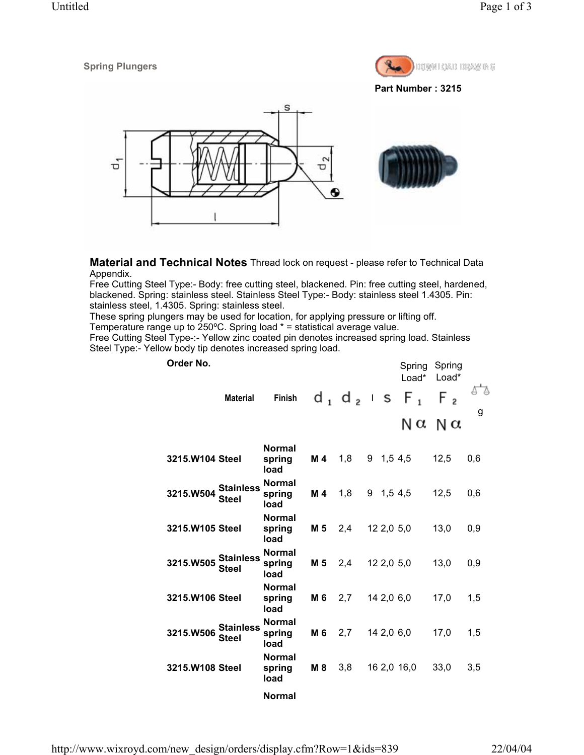

**Part Number : 3215**



**Material and Technical Notes** Thread lock on request - please refer to Technical Data Appendix.

Free Cutting Steel Type:- Body: free cutting steel, blackened. Pin: free cutting steel, hardened, blackened. Spring: stainless steel. Stainless Steel Type:- Body: stainless steel 1.4305. Pin: stainless steel, 1.4305. Spring: stainless steel.

These spring plungers may be used for location, for applying pressure or lifting off.

Temperature range up to 250ºC. Spring load \* = statistical average value.

Free Cutting Steel Type-:- Yellow zinc coated pin denotes increased spring load. Stainless Steel Type:- Yellow body tip denotes increased spring load.

| Order No.       | <b>Material</b>                  | <b>Finish</b>                   |                |     |   |            | Load*<br>$d_1$ $d_2$ is $F_1$ | Spring Spring<br>Load*<br>F2<br>ΝαΝα | g   |
|-----------------|----------------------------------|---------------------------------|----------------|-----|---|------------|-------------------------------|--------------------------------------|-----|
| 3215.W104 Steel |                                  | <b>Normal</b><br>spring<br>load | M <sub>4</sub> | 1,8 | 9 |            | 1,54,5                        | 12,5                                 | 0,6 |
| 3215.W504       | <b>Stainless</b><br><b>Steel</b> | <b>Normal</b><br>spring<br>load | M 4            | 1,8 |   |            | $9$ 1,5 4,5                   | 12,5                                 | 0,6 |
| 3215.W105 Steel |                                  | <b>Normal</b><br>spring<br>load | M 5            | 2,4 |   | 12 2,0 5,0 |                               | 13,0                                 | 0,9 |
| 3215.W505       | <b>Stainless</b><br><b>Steel</b> | <b>Normal</b><br>spring<br>load | M 5            | 2,4 |   | 12 2,0 5,0 |                               | 13,0                                 | 0,9 |
| 3215.W106 Steel |                                  | <b>Normal</b><br>spring<br>load | M 6            | 2,7 |   | 14 2,0 6,0 |                               | 17,0                                 | 1,5 |
| 3215.W506       | <b>Stainless</b><br>Steel        | <b>Normal</b><br>spring<br>load | M 6            | 2,7 |   | 14 2,0 6,0 |                               | 17,0                                 | 1,5 |
| 3215.W108 Steel |                                  | <b>Normal</b><br>spring<br>load | M 8            | 3,8 |   |            | 16 2,0 16,0                   | 33,0                                 | 3,5 |
|                 |                                  |                                 |                |     |   |            |                               |                                      |     |

**Normal**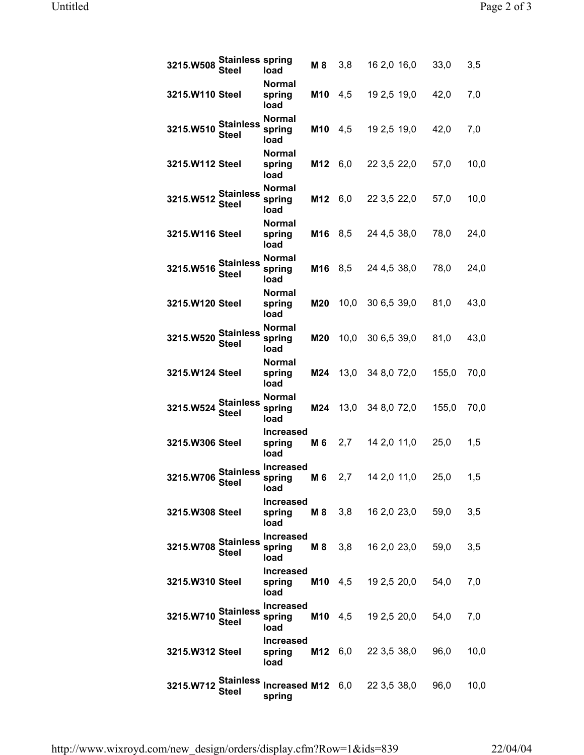| <b>Stainless spring</b><br>3215.W508<br>Steel | load                               | M 8        | 3,8            | 16 2,0 16,0                   | 33,0  | 3,5  |
|-----------------------------------------------|------------------------------------|------------|----------------|-------------------------------|-------|------|
| 3215.W110 Steel                               | Normal<br>spring<br>load           | <b>M10</b> | 4,5            | 19 2,5 19,0                   | 42,0  | 7,0  |
| <b>Stainless</b><br>3215.W510<br><b>Steel</b> | <b>Normal</b><br>spring<br>load    | <b>M10</b> | 4,5            | 19 2,5 19,0                   | 42,0  | 7,0  |
| 3215.W112 Steel                               | <b>Normal</b><br>spring<br>load    | M12        | 6,0            | 22 3,5 22,0                   | 57,0  | 10,0 |
| <b>Stainless</b><br>3215.W512<br><b>Steel</b> | <b>Normal</b><br>spring<br>load    | M12        | 6,0            | 22 3,5 22,0                   | 57,0  | 10,0 |
| 3215.W116 Steel                               | <b>Normal</b><br>spring<br>load    | M16        | 8,5            | 24 4,5 38,0                   | 78,0  | 24,0 |
| <b>Stainless</b><br>3215.W516<br><b>Steel</b> | <b>Normal</b><br>spring<br>load    | M16        | 8,5            | 24 4,5 38,0                   | 78,0  | 24,0 |
| 3215.W120 Steel                               | <b>Normal</b><br>spring<br>load    | M20        | 10,0           | 30 6,5 39,0                   | 81,0  | 43,0 |
| <b>Stainless</b><br>3215.W520<br><b>Steel</b> | <b>Normal</b><br>spring<br>load    | M20        | 10,0           | 30 6,5 39,0                   | 81,0  | 43,0 |
| 3215.W124 Steel                               | <b>Normal</b><br>spring<br>load    | M24        | 13,0           | 34 8,0 72,0                   | 155,0 | 70,0 |
| <b>Stainless</b><br>3215.W524<br><b>Steel</b> | <b>Normal</b><br>spring<br>load    | M24        | 13,0           | 34 8,0 72,0                   | 155,0 | 70,0 |
| 3215.W306 Steel                               | <b>Increased</b><br>spring<br>load | M 6        | 2,7            | 14 2,0 11,0                   | 25,0  | 1,5  |
| 3215.W706 Stainless<br>Steel                  | <b>Increased</b><br>spring<br>load | M 6        | 2,7            | 14 2,0 11,0                   | 25,0  | 1,5  |
| 3215.W308 Steel                               | <b>Increased</b><br>spring<br>load |            | <b>M 8</b> 3,8 | 16 2,0 23,0                   | 59,0  | 3,5  |
| <b>Stainless</b><br>3215.W708<br><b>Steel</b> | <b>Increased</b><br>spring<br>load |            | <b>M 8</b> 3,8 | 16 2,0 23,0                   | 59,0  | 3,5  |
| 3215.W310 Steel                               | <b>Increased</b><br>spring<br>load |            |                | <b>M10</b> 4,5 19 2,5 20,0    | 54,0  | 7,0  |
| <b>Stainless</b><br>3215.W710<br><b>Steel</b> | <b>Increased</b><br>spring<br>load |            |                | <b>M10</b> 4,5 19 2,5 20,0    | 54,0  | 7,0  |
| 3215.W312 Steel                               | <b>Increased</b><br>spring<br>load |            |                | <b>M12</b> $6,0$ 22 3,5 38,0  | 96,0  | 10,0 |
| <b>Stainless</b><br>3215.W712<br><b>Steel</b> | spring                             |            |                | Increased M12 6,0 22 3,5 38,0 | 96,0  | 10,0 |